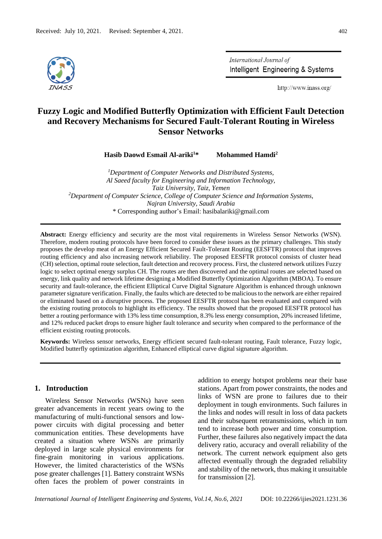

International Journal of Intelligent Engineering & Systems

http://www.inass.org/

# **Fuzzy Logic and Modified Butterfly Optimization with Efficient Fault Detection and Recovery Mechanisms for Secured Fault-Tolerant Routing in Wireless Sensor Networks**

**Hasib Daowd Esmail Al-ariki<sup>1</sup>\* Mohammed Hamdi<sup>2</sup>**

*<sup>1</sup>Department of Computer Networks and Distributed Systems, Al Saeed faculty for Engineering and Information Technology, Taiz University, Taiz, Yemen <sup>2</sup>Department of Computer Science, College of Computer Science and Information Systems, Najran University, Saudi Arabia* \* Corresponding author's Email: hasibalariki@gmail.com

**Abstract:** Energy efficiency and security are the most vital requirements in Wireless Sensor Networks (WSN). Therefore, modern routing protocols have been forced to consider these issues as the primary challenges. This study proposes the develop meat of an Energy Efficient Secured Fault-Tolerant Routing (EESFTR) protocol that improves routing efficiency and also increasing network reliability. The proposed EESFTR protocol consists of cluster head (CH) selection, optimal route selection, fault detection and recovery process. First, the clustered network utilizes Fuzzy logic to select optimal energy surplus CH. The routes are then discovered and the optimal routes are selected based on energy, link quality and network lifetime designing a Modified Butterfly Optimization Algorithm (MBOA). To ensure security and fault-tolerance, the efficient Elliptical Curve Digital Signature Algorithm is enhanced through unknown parameter signature verification. Finally, the faults which are detected to be malicious to the network are either repaired or eliminated based on a disruptive process. The proposed EESFTR protocol has been evaluated and compared with the existing routing protocols to highlight its efficiency. The results showed that the proposed EESFTR protocol has better a routing performance with 13% less time consumption, 8.3% less energy consumption, 20% increased lifetime, and 12% reduced packet drops to ensure higher fault tolerance and security when compared to the performance of the efficient existing routing protocols.

**Keywords:** Wireless sensor networks, Energy efficient secured fault-tolerant routing, Fault tolerance, Fuzzy logic, Modified butterfly optimization algorithm, Enhanced elliptical curve digital signature algorithm.

## **1. Introduction**

Wireless Sensor Networks (WSNs) have seen greater advancements in recent years owing to the manufacturing of multi-functional sensors and lowpower circuits with digital processing and better communication entities. These developments have created a situation where WSNs are primarily deployed in large scale physical environments for fine-grain monitoring in various applications. However, the limited characteristics of the WSNs pose greater challenges [1]. Battery constraint WSNs often faces the problem of power constraints in addition to energy hotspot problems near their base stations. Apart from power constraints, the nodes and links of WSN are prone to failures due to their deployment in tough environments. Such failures in the links and nodes will result in loss of data packets and their subsequent retransmissions, which in turn tend to increase both power and time consumption. Further, these failures also negatively impact the data delivery ratio, accuracy and overall reliability of the network. The current network equipment also gets affected eventually through the degraded reliability and stability of the network, thus making it unsuitable for transmission [2].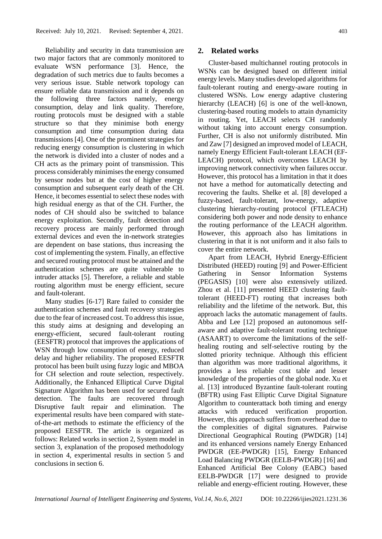Reliability and security in data transmission are two major factors that are commonly monitored to evaluate WSN performance [3]. Hence, the degradation of such metrics due to faults becomes a very serious issue. Stable network topology can ensure reliable data transmission and it depends on the following three factors namely, energy consumption, delay and link quality. Therefore, routing protocols must be designed with a stable structure so that they minimise both energy consumption and time consumption during data transmissions [4]. One of the prominent strategies for reducing energy consumption is clustering in which the network is divided into a cluster of nodes and a CH acts as the primary point of transmission. This process considerably minimises the energy consumed by sensor nodes but at the cost of higher energy consumption and subsequent early death of the CH. Hence, it becomes essential to select these nodes with high residual energy as that of the CH. Further, the nodes of CH should also be switched to balance energy exploitation. Secondly, fault detection and recovery process are mainly performed through external devices and even the in-network strategies are dependent on base stations, thus increasing the cost of implementing the system. Finally, an effective and secured routing protocol must be attained and the authentication schemes are quite vulnerable to intruder attacks [5]. Therefore, a reliable and stable routing algorithm must be energy efficient, secure and fault-tolerant.

Many studies [6-17] Rare failed to consider the authentication schemes and fault recovery strategies due to the fear of increased cost. To address this issue, this study aims at designing and developing an energy-efficient, secured fault-tolerant routing (EESFTR) protocol that improves the applications of WSN through low consumption of energy, reduced delay and higher reliability. The proposed EESFTR protocol has been built using fuzzy logic and MBOA for CH selection and route selection, respectively. Additionally, the Enhanced Elliptical Curve Digital Signature Algorithm has been used for secured fault detection. The faults are recovered through Disruptive fault repair and elimination. The experimental results have been compared with stateof-the-art methods to estimate the efficiency of the proposed EESFTR. The article is organized as follows: Related works in section 2, System model in section 3, explanation of the proposed methodology in section 4, experimental results in section 5 and conclusions in section 6.

**2. Related works**

Cluster-based multichannel routing protocols in WSNs can be designed based on different initial energy levels. Many studies developed algorithms for fault-tolerant routing and energy-aware routing in clustered WSNs. Low energy adaptive clustering hierarchy (LEACH) [6] is one of the well-known, clustering-based routing models to attain dynamicity in routing. Yet, LEACH selects CH randomly without taking into account energy consumption. Further, CH is also not uniformly distributed. Min and Zaw [7] designed an improved model of LEACH, namely Energy Efficient Fault-tolerant LEACH (EF-LEACH) protocol, which overcomes LEACH by improving network connectivity when failures occur. However, this protocol has a limitation in that it does not have a method for automatically detecting and recovering the faults. Shelke et al. [8] developed a fuzzy-based, fault-tolerant, low-energy, adaptive clustering hierarchy-routing protocol (FTLEACH) considering both power and node density to enhance the routing performance of the LEACH algorithm. However, this approach also has limitations in clustering in that it is not uniform and it also fails to cover the entire network.

Apart from LEACH, Hybrid Energy-Efficient Distributed (HEED) routing [9] and Power-Efficient Gathering in Sensor Information Systems (PEGASIS) [10] were also extensively utilized. Zhou et al. [11] presented HEED clustering faulttolerant (HEED-FT) routing that increases both reliability and the lifetime of the network. But, this approach lacks the automatic management of faults. Abba and Lee [12] proposed an autonomous selfaware and adaptive fault-tolerant routing technique (ASAART) to overcome the limitations of the selfhealing routing and self-selective routing by the slotted priority technique. Although this efficient than algorithm was more traditional algorithms, it provides a less reliable cost table and lesser knowledge of the properties of the global node. Xu et al. [13] introduced Byzantine fault-tolerant routing (BFTR) using Fast Elliptic Curve Digital Signature Algorithm to counterattack both timing and energy attacks with reduced verification proportion. However, this approach suffers from overhead due to the complexities of digital signatures. Pairwise Directional Geographical Routing (PWDGR) [14] and its enhanced versions namely Energy Enhanced PWDGR (EE-PWDGR) [15], Energy Enhanced Load Balancing PWDGR (EELB-PWDGR) [16] and Enhanced Artificial Bee Colony (EABC) based EELB-PWDGR [17] were designed to provide reliable and energy-efficient routing. However, these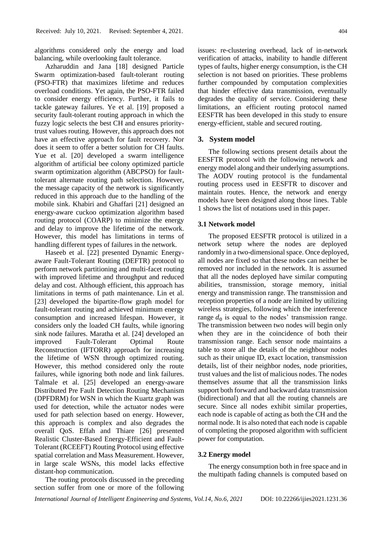algorithms considered only the energy and load balancing, while overlooking fault tolerance.

Azharuddin and Jana [18] designed Particle Swarm optimization-based fault-tolerant routing (PSO-FTR) that maximizes lifetime and reduces overload conditions. Yet again, the PSO-FTR failed to consider energy efficiency. Further, it fails to tackle gateway failures. Ye et al. [19] proposed a security fault-tolerant routing approach in which the fuzzy logic selects the best CH and ensures prioritytrust values routing. However, this approach does not have an effective approach for fault recovery. Nor does it seem to offer a better solution for CH faults. Yue et al. [20] developed a swarm intelligence algorithm of artificial bee colony optimized particle swarm optimization algorithm (ABCPSO) for faulttolerant alternate routing path selection. However, the message capacity of the network is significantly reduced in this approach due to the handling of the mobile sink. Khabiri and Ghaffari [21] designed an energy-aware cuckoo optimization algorithm based routing protocol (COARP) to minimize the energy and delay to improve the lifetime of the network. However, this model has limitations in terms of handling different types of failures in the network.

Haseeb et al. [22] presented Dynamic Energyaware Fault-Tolerant Routing (DEFTR) protocol to perform network partitioning and multi-facet routing with improved lifetime and throughput and reduced delay and cost. Although efficient, this approach has limitations in terms of path maintenance. Lin et al. [23] developed the bipartite-flow graph model for fault-tolerant routing and achieved minimum energy consumption and increased lifespan. However, it considers only the loaded CH faults, while ignoring sink node failures. Maratha et al. [24] developed an improved Fault-Tolerant Optimal Route Reconstruction (IFTORR) approach for increasing the lifetime of WSN through optimized routing. However, this method considered only the route failures, while ignoring both node and link failures. Talmale et al. [25] developed an energy-aware Distributed Pre Fault Detection Routing Mechanism (DPFDRM) for WSN in which the Kuartz graph was used for detection, while the actuator nodes were used for path selection based on energy. However, this approach is complex and also degrades the overall QoS. Effah and Thiare [26] presented Realistic Cluster-Based Energy-Efficient and Fault-Tolerant (RCEEFT) Routing Protocol using effective spatial correlation and Mass Measurement. However, in large scale WSNs, this model lacks effective distant-hop communication.

The routing protocols discussed in the preceding section suffer from one or more of the following

issues: re-clustering overhead, lack of in-network verification of attacks, inability to handle different types of faults, higher energy consumption, is the CH selection is not based on priorities. These problems further compounded by computation complexities that hinder effective data transmission, eventually degrades the quality of service. Considering these limitations, an efficient routing protocol named EESFTR has been developed in this study to ensure energy-efficient, stable and secured routing.

#### **3. System model**

The following sections present details about the EESFTR protocol with the following network and energy model along and their underlying assumptions. The AODV routing protocol is the fundamental routing process used in EESFTR to discover and maintain routes. Hence, the network and energy models have been designed along those lines. Table 1 shows the list of notations used in this paper.

#### **3.1 Network model**

The proposed EESFTR protocol is utilized in a network setup where the nodes are deployed randomly in a two-dimensional space. Once deployed, all nodes are fixed so that these nodes can neither be removed nor included in the network. It is assumed that all the nodes deployed have similar computing abilities, transmission, storage memory, initial energy and transmission range. The transmission and reception properties of a node are limited by utilizing wireless strategies, following which the interference range  $d_0$  is equal to the nodes' transmission range. The transmission between two nodes will begin only when they are in the coincidence of both their transmission range. Each sensor node maintains a table to store all the details of the neighbour nodes such as their unique ID, exact location, transmission details, list of their neighbor nodes, node priorities, trust values and the list of malicious nodes. The nodes themselves assume that all the transmission links support both forward and backward data transmission (bidirectional) and that all the routing channels are secure. Since all nodes exhibit similar properties, each node is capable of acting as both the CH and the normal node. It is also noted that each node is capable of completing the proposed algorithm with sufficient power for computation.

#### **3.2 Energy model**

The energy consumption both in free space and in the multipath fading channels is computed based on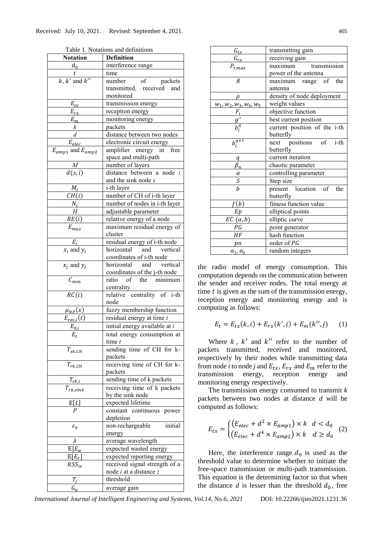| <b>Notation</b>           | <b>Definition</b>                                              |  |  |
|---------------------------|----------------------------------------------------------------|--|--|
| $d_0$                     | interference range                                             |  |  |
| t                         | time                                                           |  |  |
| $k, k'$ and $k''$         | number of packets                                              |  |  |
|                           | transmitted, received and                                      |  |  |
|                           | monitored                                                      |  |  |
| $E_{tx}$                  |                                                                |  |  |
|                           | transmission energy                                            |  |  |
| $E_{rx}$                  | reception energy                                               |  |  |
|                           | monitoring energy                                              |  |  |
| $\frac{E_m}{k}$           | packets                                                        |  |  |
|                           | distance between two nodes                                     |  |  |
| $E_{elec}$                | electronic circuit energy                                      |  |  |
| $E_{amp1}$ and $E_{amp2}$ | amplifier energy in<br>free                                    |  |  |
|                           | space and multi-path                                           |  |  |
|                           | number of layers                                               |  |  |
| $\frac{M}{d(s,i)}$        | distance between a node i                                      |  |  |
|                           | and the sink node s                                            |  |  |
| $M_i$                     | i-th layer                                                     |  |  |
| CH(i)                     | number of CH of i-th layer                                     |  |  |
|                           |                                                                |  |  |
| $\frac{N_i}{H}$           | number of nodes in i-th layer                                  |  |  |
|                           | adjustable parameter                                           |  |  |
| RE(i)                     | relative energy of a node                                      |  |  |
| $E_{max}$                 | maximum residual energy of                                     |  |  |
|                           | cluster                                                        |  |  |
| $E_i$                     | residual energy of i-th node                                   |  |  |
| $x_i$ and $y_i$           | horizontal<br>and vertical                                     |  |  |
|                           | coordinates of i-th node                                       |  |  |
| $x_i$ and $y_i$           | horizontal and vertical                                        |  |  |
|                           | coordinates of the j-th node                                   |  |  |
| $\mathcal{C}_{min}$       | ratio of the minimum                                           |  |  |
|                           | centrality                                                     |  |  |
| $\overline{RC(i)}$        | relative centrality of i-th                                    |  |  |
|                           | node                                                           |  |  |
| $\mu_{NP}(x)$             | fuzzy membership function                                      |  |  |
| $E_{res,i}(t)$            |                                                                |  |  |
|                           | residual energy at time $t$<br>initial energy available at $i$ |  |  |
| $E_{0,i}$                 |                                                                |  |  |
| $E_t$                     | total energy consumption at                                    |  |  |
|                           | tıme t                                                         |  |  |
| $T_{sk,CH}$               | sending time of CH for k-                                      |  |  |
|                           | packets                                                        |  |  |
| $T_{rk,CH}$               | receiving time of CH for k-                                    |  |  |
|                           | packets                                                        |  |  |
| $T_{sk,i}$                | sending time of k packets                                      |  |  |
| $T_{rk,sink}$             | receiving time of k packets                                    |  |  |
|                           | by the sink node                                               |  |  |
| $\mathbb{E}[L]$           | expected lifetime                                              |  |  |
| $\boldsymbol{p}$          | constant continuous<br>power                                   |  |  |
|                           | depletion                                                      |  |  |
| $\varepsilon_0$           | initial<br>non-rechargeable                                    |  |  |
|                           | energy                                                         |  |  |
| λ                         | average wavelength                                             |  |  |
| $\mathbb{E}[E_{w}]$       | expected wasted energy                                         |  |  |
|                           |                                                                |  |  |
| $\mathbb{E}[E_r]$         | expected reporting energy                                      |  |  |
| $RSS_{iz}$                | received signal strength of a                                  |  |  |
|                           | node i at a distance z                                         |  |  |
| $T_i$                     | threshold                                                      |  |  |
| $G_a$                     | average gain                                                   |  |  |

Table 1. Notations and definitions

| $G_{tx}$                   | transmitting gain            |  |  |  |
|----------------------------|------------------------------|--|--|--|
| $\frac{G_{rx}}{P_{t,max}}$ | receiving gain               |  |  |  |
|                            | transmission<br>maximum      |  |  |  |
|                            | power of the antenna         |  |  |  |
| $\overline{R}$             | maximum range of the         |  |  |  |
|                            | antenna                      |  |  |  |
|                            | density of node deployment   |  |  |  |
| $W_1, W_2, W_3, W_4, W_5$  | weight values                |  |  |  |
|                            | objective function           |  |  |  |
| $\frac{F_i}{g^*}$          | best current position        |  |  |  |
|                            | current position of the i-th |  |  |  |
|                            | butterfly                    |  |  |  |
| $b_i^{q+1}$                | next positions of i-th       |  |  |  |
|                            | butterfly                    |  |  |  |
| q                          | current iteration            |  |  |  |
| $\beta_n$                  | chaotic parameter            |  |  |  |
| $\frac{\alpha}{S}$         | controlling parameter        |  |  |  |
|                            | Step size                    |  |  |  |
| b                          | present location of<br>the   |  |  |  |
|                            | butterfly                    |  |  |  |
| f(b)                       | fitness function value       |  |  |  |
| Ep                         | elliptical points            |  |  |  |
| $\overline{EC}(a,b)$       | elliptic curve               |  |  |  |
| $\overline{PG}$            | point generator              |  |  |  |
| HF                         | hash function                |  |  |  |
| рn                         | order of PG                  |  |  |  |
| $a_1$ , $a_2$              | random integers              |  |  |  |

the radio model of energy consumption. This computation depends on the communication between the sender and receiver nodes. The total energy at time  $t$  is given as the sum of the transmission energy, reception energy and monitoring energy and is computing as follows:

$$
E_t = E_{tx}(k, i) + E_{rx}(k', i) + E_m(k'', j) \tag{1}
$$

Where  $k$ ,  $k'$  and  $k''$  refer to the number of packets transmitted, received and monitored, respectively by their nodes while transmitting data from node *i* to node *j* and  $E_{tx}$ ,  $E_{rx}$  and  $E_m$  refer to the transmission energy, reception energy and energy, reception energy monitoring energy respectively.

The transmission energy consumed to transmit *k* packets between two nodes at distance *d* will be computed as follows:

$$
E_{tx} = \begin{cases} \left( E_{elec} + d^2 \times E_{amp1} \right) \times k & d < d_0\\ \left( E_{elec} + d^4 \times E_{amp2} \right) \times k & d \ge d_0 \end{cases} \quad (2)
$$

Here, the interference range  $d_0$  is used as the threshold value to determine whether to initiate the free-space transmission or multi-path transmission. This equation is the determining factor so that when the distance  $d$  is lesser than the threshold  $d_0$ , free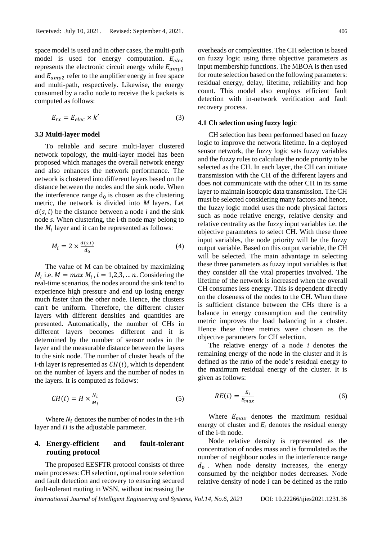space model is used and in other cases, the multi-path model is used for energy computation.  $E_{elec}$ represents the electronic circuit energy while  $E_{amm1}$ and  $E_{amp2}$  refer to the amplifier energy in free space and multi-path, respectively. Likewise, the energy consumed by a radio node to receive the k packets is computed as follows:

$$
E_{rx} = E_{elec} \times k'
$$
 (3)

#### **3.3 Multi-layer model**

To reliable and secure multi-layer clustered network topology, the multi-layer model has been proposed which manages the overall network energy and also enhances the network performance. The network is clustered into different layers based on the distance between the nodes and the sink node. When the interference range  $d_0$  is chosen as the clustering metric, the network is divided into *M* layers. Let  $d(s, i)$  be the distance between a node *i* and the sink node *s*. When clustering, the i-th node may belong to the  $M_i$  layer and it can be represented as follows:

$$
M_i = 2 \times \frac{d(s,i)}{d_0} \tag{4}
$$

The value of M can be obtained by maximizing  $M_i$  i.e.  $M = max M_i$ ,  $i = 1,2,3,...n$ . Considering the real-time scenarios, the nodes around the sink tend to experience high pressure and end up losing energy much faster than the other node. Hence, the clusters can't be uniform. Therefore, the different cluster layers with different densities and quantities are presented. Automatically, the number of CHs in different layers becomes different and it is determined by the number of sensor nodes in the layer and the measurable distance between the layers to the sink node. The number of cluster heads of the i-th layer is represented as  $CH(i)$ , which is dependent on the number of layers and the number of nodes in the layers. It is computed as follows:

$$
CH(i) = H \times \frac{N_i}{M_i} \tag{5}
$$

Where  $N_i$  denotes the number of nodes in the i-th layer and *H* is the adjustable parameter.

## **4. Energy-efficient and fault-tolerant routing protocol**

The proposed EESFTR protocol consists of three main processes: CH selection, optimal route selection and fault detection and recovery to ensuring secured fault-tolerant routing in WSN, without increasing the

overheads or complexities. The CH selection is based on fuzzy logic using three objective parameters as input membership functions. The MBOA is then used for route selection based on the following parameters: residual energy, delay, lifetime, reliability and hop count. This model also employs efficient fault detection with in-network verification and fault recovery process.

## **4.1 Ch selection using fuzzy logic**

CH selection has been performed based on fuzzy logic to improve the network lifetime. In a deployed sensor network, the fuzzy logic sets fuzzy variables and the fuzzy rules to calculate the node priority to be selected as the CH. In each layer, the CH can initiate transmission with the CH of the different layers and does not communicate with the other CH in its same layer to maintain isotropic data transmission. The CH must be selected considering many factors and hence, the fuzzy logic model uses the node physical factors such as node relative energy, relative density and relative centrality as the fuzzy input variables i.e. the objective parameters to select CH. With these three input variables, the node priority will be the fuzzy output variable. Based on this output variable, the CH will be selected. The main advantage in selecting these three parameters as fuzzy input variables is that they consider all the vital properties involved. The lifetime of the network is increased when the overall CH consumes less energy. This is dependent directly on the closeness of the nodes to the CH. When there is sufficient distance between the CHs there is a balance in energy consumption and the centrality metric improves the load balancing in a cluster. Hence these three metrics were chosen as the objective parameters for CH selection.

The relative energy of a node *i* denotes the remaining energy of the node in the cluster and it is defined as the ratio of the node's residual energy to the maximum residual energy of the cluster. It is given as follows:

$$
RE(i) = \frac{E_i}{E_{max}} \tag{6}
$$

Where  $E_{max}$  denotes the maximum residual energy of cluster and  $E_i$  denotes the residual energy of the i-th node.

Node relative density is represented as the concentration of nodes mass and is formulated as the number of neighbour nodes in the interference range  $d_0$ . When node density increases, the energy consumed by the neighbor nodes decreases. Node relative density of node i can be defined as the ratio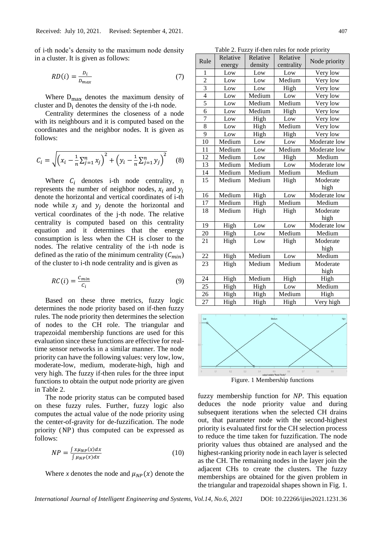of i-th node's density to the maximum node density in a cluster. It is given as follows:

$$
RD(i) = \frac{D_i}{D_{max}}\tag{7}
$$

Where  $D_{\text{max}}$  denotes the maximum density of cluster and  $D_i$  denotes the density of the i-th node.

Centrality determines the closeness of a node with its neighbours and it is computed based on the coordinates and the neighbor nodes. It is given as follows:

$$
C_i = \sqrt{\left(x_i - \frac{1}{n}\sum_{j=1}^n x_j\right)^2 + \left(y_i - \frac{1}{n}\sum_{j=1}^n y_j\right)^2} \tag{8}
$$

Where  $C_i$  denotes i-th node centrality, n represents the number of neighbor nodes,  $x_i$  and  $y_i$ denote the horizontal and vertical coordinates of i-th node while  $x_i$  and  $y_i$  denote the horizontal and vertical coordinates of the j-th node. The relative centrality is computed based on this centrality equation and it determines that the energy consumption is less when the CH is closer to the nodes. The relative centrality of the i-th node is defined as the ratio of the minimum centrality  $(C_{min})$ of the cluster to i-th node centrality and is given as

$$
RC(i) = \frac{C_{min}}{C_i} \tag{9}
$$

Based on these three metrics, fuzzy logic determines the node priority based on if-then fuzzy rules. The node priority then determines the selection of nodes to the CH role. The triangular and trapezoidal membership functions are used for this evaluation since these functions are effective for realtime sensor networks in a similar manner. The node priority can have the following values: very low, low, moderate-low, medium, moderate-high, high and very high. The fuzzy if-then rules for the three input functions to obtain the output node priority are given in Table 2.

The node priority status can be computed based on these fuzzy rules. Further, fuzzy logic also computes the actual value of the node priority using the center-of-gravity for de-fuzzification. The node priority (NP) thus computed can be expressed as follows:

$$
NP = \frac{\int x \mu_{NP}(x) dx}{\int \mu_{NP}(x) dx}
$$
\n(10)

Where *x* denotes the node and  $\mu_{NP}(x)$  denote the

Table 2. Fuzzy if-then rules for node priority

| Rule                     | Relative | Relative | Relative   |               |  |
|--------------------------|----------|----------|------------|---------------|--|
|                          | energy   | density  | centrality | Node priority |  |
| 1                        | Low      | Low      | Low        | Very low      |  |
| $\overline{2}$           | Low      | Low      | Medium     | Very low      |  |
| $\overline{\mathbf{3}}$  | Low      | Low      | High       | Very low      |  |
| $\overline{\mathcal{L}}$ | Low      | Medium   | Low        | Very low      |  |
| 5                        | Low      | Medium   | Medium     | Very low      |  |
| 6                        | Low      | Medium   | High       | Very low      |  |
| 7                        | Low      | High     | Low        | Very low      |  |
| 8                        | Low      | High     | Medium     | Very low      |  |
| 9                        | Low      | High     | High       | Very low      |  |
| 10                       | Medium   | Low      | Low        | Moderate low  |  |
| 11                       | Medium   | Low      | Medium     | Moderate low  |  |
| 12                       | Medium   | Low      | High       | Medium        |  |
| 13                       | Medium   | Medium   | Low        | Moderate low  |  |
| 14                       | Medium   | Medium   | Medium     | Medium        |  |
| $1\overline{5}$          | Medium   | Medium   | High       | Moderate      |  |
|                          |          |          |            | high          |  |
| 16                       | Medium   | High     | Low        | Moderate low  |  |
| 17                       | Medium   | High     | Medium     | Medium        |  |
| 18                       | Medium   | High     | High       | Moderate      |  |
|                          |          |          |            | high          |  |
| 19                       | High     | Low      | Low        | Moderate low  |  |
| 20                       | High     | Low      | Medium     | Medium        |  |
| 21                       | High     | Low      | High       | Moderate      |  |
|                          |          |          |            | high          |  |
| 22                       | High     | Medium   | Low        | Medium        |  |
| 23                       | High     | Medium   | Medium     | Moderate      |  |
|                          |          |          |            | high          |  |
| 24                       | High     | Medium   | High       | High          |  |
| 25                       | High     | High     | Low        | Medium        |  |
| 26                       | High     | High     | Medium     | High          |  |
| 27                       | High     | High     | High       | Very high     |  |



fuzzy membership function for *NP*. This equation deduces the node priority value and during subsequent iterations when the selected CH drains out, that parameter node with the second-highest priority is evaluated first for the CH selection process to reduce the time taken for fuzzification. The node priority values thus obtained are analysed and the highest-ranking priority node in each layer is selected as the CH. The remaining nodes in the layer join the adjacent CHs to create the clusters. The fuzzy memberships are obtained for the given problem in the triangular and trapezoidal shapes shown in Fig. 1.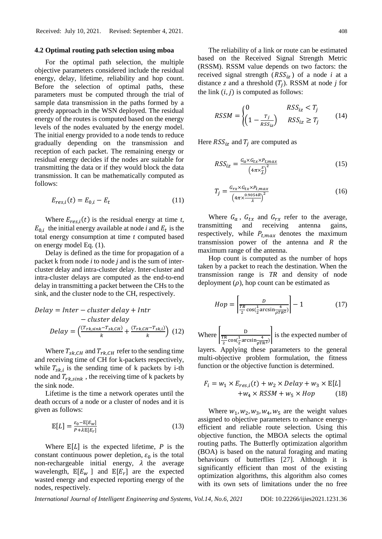#### **4.2 Optimal routing path selection using mboa**

For the optimal path selection, the multiple objective parameters considered include the residual energy, delay, lifetime, reliability and hop count. Before the selection of optimal paths, these parameters must be computed through the trial of sample data transmission in the paths formed by a greedy approach in the WSN deployed. The residual energy of the routes is computed based on the energy levels of the nodes evaluated by the energy model. The initial energy provided to a node tends to reduce gradually depending on the transmission and reception of each packet. The remaining energy or residual energy decides if the nodes are suitable for transmitting the data or if they would block the data transmission. It can be mathematically computed as follows:

$$
E_{res,i}(t) = E_{0,i} - E_t
$$
 (11)

Where  $E_{res,i}(t)$  is the residual energy at time *t*,  $E_{0,i}$  the initial energy available at node *i* and  $E_t$  is the total energy consumption at time *t* computed based on energy model Eq. (1).

Delay is defined as the time for propagation of a packet k from node *i* to node *j* and is the sum of intercluster delay and intra-cluster delay. Inter-cluster and intra-cluster delays are computed as the end-to-end delay in transmitting a packet between the CHs to the sink, and the cluster node to the CH, respectively.

$$
Delay = Inter-cluster delay + Intr
$$
  
- cluster delay  

$$
Delay = \left(\frac{(T_{rk,sink} - T_{sk,CH})}{k} + \frac{(T_{rk,CH} - T_{sk,i})}{k}\right)
$$
(12)

Where  $T_{sk,CH}$  and  $T_{rk,CH}$  refer to the sending time and receiving time of CH for k-packets respectively, while  $T_{sk,i}$  is the sending time of k packets by i-th node and  $T_{rk, sink}$ , the receiving time of k packets by the sink node.

Lifetime is the time a network operates until the death occurs of a node or a cluster of nodes and it is given as follows:

$$
\mathbb{E}[L] = \frac{\varepsilon_0 - \mathbb{E}[E_W]}{P + \lambda \mathbb{E}[E_r]}
$$
(13)

Where  $\mathbb{E}[L]$  is the expected lifetime, P is the constant continuous power depletion,  $\varepsilon_0$  is the total non-rechargeable initial energy,  $\lambda$  the average wavelength,  $\mathbb{E}[E_w]$  and  $\mathbb{E}[E_r]$  are the expected wasted energy and expected reporting energy of the nodes, respectively.

The reliability of a link or route can be estimated based on the Received Signal Strength Metric (RSSM). RSSM value depends on two factors: the received signal strength  $(RSS<sub>iz</sub>)$  of a node *i* at a distance  $z$  and a threshold  $(T_j)$ . RSSM at node  $j$  for the link  $(i, j)$  is computed as follows:

$$
RSSM = \begin{cases} 0 & RSS_{iz} < T_j \\ \left(1 - \frac{T_j}{RSS_{iz}}\right) & RSS_{iz} \ge T_j \end{cases} \tag{14}
$$

Here  $RSS_{iz}$  and  $T_i$  are computed as

$$
RSS_{iz} = \frac{G_a \times G_{tx} \times P_{t,max}}{\left(4\pi \times \frac{z}{\lambda}\right)^2}
$$
(15)

$$
T_j = \frac{G_{rx} \times G_{tx} \times P_{t,max}}{\left(4\pi \times \frac{0.9054R}{\lambda}\right)^2}
$$
(16)

Where  $G_a$ ,  $G_{tx}$  and  $G_{rx}$  refer to the average, transmitting and receiving antenna gains, respectively, while  $P_{t,max}$  denotes the maximum transmission power of the antenna and *R* the maximum range of the antenna.

Hop count is computed as the number of hops taken by a packet to reach the destination. When the transmission range is *TR* and density of node deployment  $(\rho)$ , hop count can be estimated as

$$
Hop = \left[\frac{D}{\frac{TR}{2}\cos(\frac{1}{2}\arcsin\frac{4}{\rho TR^2})}\right] - 1\tag{17}
$$

Where  $\frac{D}{TR}$ TR  $\frac{\Gamma R}{2}$ cos $(\frac{1}{2})$  $\frac{1}{2} \arcsin \frac{4}{\rho T R^2}$  is the expected number of

layers. Applying these parameters to the general multi-objective problem formulation, the fitness function or the objective function is determined.

$$
F_i = w_1 \times E_{res,i}(t) + w_2 \times Delay + w_3 \times \mathbb{E}[L]
$$
  
+
$$
w_4 \times RSSM + w_5 \times Hop
$$
 (18)

Where  $w_1$ ,  $w_2$ ,  $w_3$ ,  $w_4$ ,  $w_5$  are the weight values assigned to objective parameters to enhance energyefficient and reliable route selection. Using this objective function, the MBOA selects the optimal routing paths. The Butterfly optimization algorithm (BOA) is based on the natural foraging and mating behaviours of butterflies [27]. Although it is significantly efficient than most of the existing optimization algorithms, this algorithm also comes with its own sets of limitations under the no free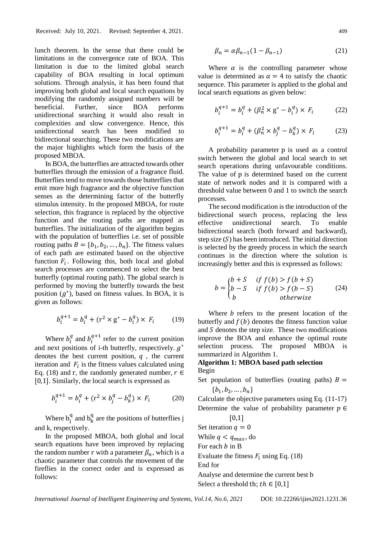lunch theorem. In the sense that there could be limitations in the convergence rate of BOA. This limitation is due to the limited global search capability of BOA resulting in local optimum solutions. Through analysis, it has been found that improving both global and local search equations by modifying the randomly assigned numbers will be beneficial. Further, since BOA performs unidirectional searching it would also result in complexities and slow convergence. Hence, this unidirectional search has been modified to bidirectional searching. These two modifications are the major highlights which form the basis of the proposed MBOA.

In BOA, the butterflies are attracted towards other butterflies through the emission of a fragrance fluid. Butterflies tend to move towards those butterflies that emit more high fragrance and the objective function senses as the determining factor of the butterfly stimulus intensity. In the proposed MBOA, for route selection, this fragrance is replaced by the objective function and the routing paths are mapped as butterflies. The initialization of the algorithm begins with the population of butterflies i.e. set of possible routing paths  $B = \{b_1, b_2, ..., b_n\}$ . The fitness values of each path are estimated based on the objective function  $F_i$ . Following this, both local and global search processes are commenced to select the best butterfly (optimal routing path). The global search is performed by moving the butterfly towards the best position  $(g^*)$ , based on fitness values. In BOA, it is given as follows:

$$
b_i^{q+1} = b_i^q + (\mathbf{r}^2 \times \mathbf{g}^* - b_i^q) \times F_i \tag{19}
$$

Where  $b_i^q$  and  $b_i^{q+1}$  refer to the current position and next positions of i-th butterfly, respectively.  $g^*$ denotes the best current position,  $q$ , the current iteration and  $F_i$  is the fitness values calculated using Eq. (18) and r, the randomly generated number,  $r \in$ [0,1]. Similarly, the local search is expressed as

$$
b_i^{q+1} = b_i^q + (\mathbf{r}^2 \times b_j^q - b_k^q) \times F_i
$$
 (20)

Where  $b_j^q$  and  $b_k^q$  are the positions of butterflies j and k, respectively.

In the proposed MBOA, both global and local search equations have been improved by replacing the random number r with a parameter  $\beta_n$ , which is a chaotic parameter that controls the movement of the fireflies in the correct order and is expressed as follows:

$$
\beta_n = \alpha \beta_{n-1} (1 - \beta_{n-1}) \tag{21}
$$

Where  $\alpha$  is the controlling parameter whose value is determined as  $\alpha = 4$  to satisfy the chaotic sequence. This parameter is applied to the global and local search equations as given below:

$$
b_i^{q+1} = b_i^q + (\beta_n^2 \times g^* - b_i^q) \times F_i \tag{22}
$$

$$
b_i^{q+1} = b_i^q + (\beta_n^2 \times b_j^q - b_k^q) \times F_i \tag{23}
$$

A probability parameter p is used as a control switch between the global and local search to set search operations during unfavourable conditions. The value of p is determined based on the current state of network nodes and it is compared with a threshold value between 0 and 1 to switch the search processes.

The second modification is the introduction of the bidirectional search process, replacing the less effective unidirectional search. To enable bidirectional search (both forward and backward), step size  $(S)$  has been introduced. The initial direction is selected by the greedy process in which the search continues in the direction where the solution is increasingly better and this is expressed as follows:

$$
b = \begin{cases} b+S & \text{if } f(b) > f(b+S) \\ b-S & \text{if } f(b) > f(b-S) \\ b & \text{otherwise} \end{cases}
$$
 (24)

Where  *refers to the present location of the* butterfly and  $f(b)$  denotes the fitness function value and  $S$  denotes the step size. These two modifications improve the BOA and enhance the optimal route selection process. The proposed MBOA is summarized in Algorithm 1.

## **Algorithm 1: MBOA based path selection** Begin

- Set population of butterflies (routing paths)  $B =$  ${b_1, b_2, ..., b_n}$
- Calculate the objective parameters using Eq. (11-17) Determine the value of probability parameter  $p \in$ [0,1]

Set iteration  $q = 0$ While  $q < q_{max}$ , do For each  $b$  in B

Evaluate the fitness  $F_i$  using Eq. (18)

End for

Analyse and determine the current best b Select a threshold th;  $th \in [0,1]$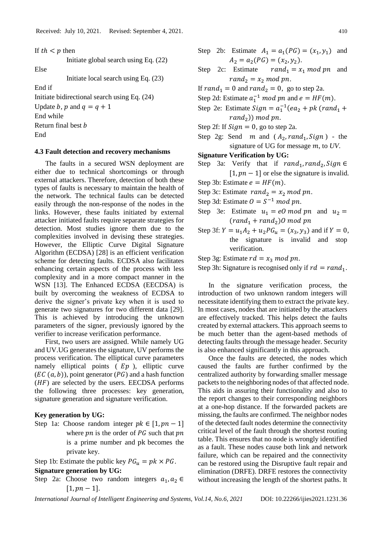If  $th < p$  then

Initiate global search using Eq. (22)

Else

Initiate local search using Eq. (23)

End if

Initiate bidirectional search using Eq. (24)

Update *b*, *p* and  $q = q + 1$ 

End while

Return final best *b* 

End

#### **4.3 Fault detection and recovery mechanisms**

The faults in a secured WSN deployment are either due to technical shortcomings or through external attackers. Therefore, detection of both these types of faults is necessary to maintain the health of the network. The technical faults can be detected easily through the non-response of the nodes in the links. However, these faults initiated by external attacker initiated faults require separate strategies for detection. Most studies ignore them due to the complexities involved in devising these strategies. However, the Elliptic Curve Digital Signature Algorithm (ECDSA) [28] is an efficient verification scheme for detecting faults. ECDSA also facilitates enhancing certain aspects of the process with less complexity and in a more compact manner in the WSN [13]. The Enhanced ECDSA (EECDSA) is built by overcoming the weakness of ECDSA to derive the signer's private key when it is used to generate two signatures for two different data [29]. This is achieved by introducing the unknown parameters of the signer, previously ignored by the verifier to increase verification performance.

First, two users are assigned. While namely UG and UV.UG generates the signature, UV performs the process verification. The elliptical curve parameters namely elliptical points  $(Ep)$ , elliptic curve  $(EC (a, b))$ , point generator  $(PG)$  and a hash function  $(HF)$  are selected by the users. EECDSA performs the following three processes: key generation, signature generation and signature verification.

## **Key generation by UG:**

Step 1a: Choose random integer  $pk \in [1, pn - 1]$ where  $pn$  is the order of  $PG$  such that  $pn$ is a prime number and pk becomes the private key.

Step 1b: Estimate the public key  $PG_u = pk \times PG$ .

**Signature generation by UG:**

Step 2a: Choose two random integers  $a_1, a_2 \in$  $[1, pn - 1]$ .

- Step 2b: Estimate  $A_1 = a_1(PG) = (x_1, y_1)$  and  $A_2 = a_2(PG) = (x_2, y_2).$
- Step 2c: Estimate  $rand_1 = x_1 \mod pn$  and  $rand_2 = x_2 \mod pn$ .

If  $rand_1 = 0$  and  $rand_2 = 0$ , go to step 2a.

- Step 2d: Estimate  $a_1^{-1}$  *mod pn* and  $e = HF(m)$ .
- Step 2e: Estimate  $Sign = a_1^{-1}(ea_2 + pk (rand_1 +$  $rand_2)$ ) mod pn.
- Step 2f: If  $Sign = 0$ , go to step 2a.
- Step 2g: Send m and  $(A_2, rand_1, Sign)$  the signature of UG for message m, to UV.
- **Signature Verification by UG:**
- Step 3a: Verify that if  $rand_1, rand_2, Sign \in$  $[1, pn - 1]$  or else the signature is invalid.

Step 3b: Estimate  $e = HF(m)$ .

- Step 3c: Estimate  $rand_2 = x_2 \mod pn$ .
- Step 3d: Estimate  $0 = S^{-1} \mod{pn}$ .
- Step 3e: Estimate  $u_1 = e0 \text{ mod } pn$  and  $u_2 =$  $(rand_1 + rand_2)$ O mod pn
- Step 3f:  $Y = u_1 A_2 + u_2 P G_u = (x_3, y_3)$  and if  $Y = 0$ , the signature is invalid and stop verification.

Step 3g: Estimate  $rd = x_3 \mod pn$ .

Step 3h: Signature is recognised only if  $rd = rand_1$ .

In the signature verification process, the introduction of two unknown random integers will necessitate identifying them to extract the private key. In most cases, nodes that are initiated by the attackers are effectively tracked. This helps detect the faults created by external attackers. This approach seems to be much better than the agent-based methods of detecting faults through the message header. Security is also enhanced significantly in this approach.

Once the faults are detected, the nodes which caused the faults are further confirmed by the centralized authority by forwarding smaller message packets to the neighboring nodes of that affected node. This aids in assuring their functionality and also to the report changes to their corresponding neighbors at a one-hop distance. If the forwarded packets are missing, the faults are confirmed. The neighbor nodes of the detected fault nodes determine the connectivity critical level of the fault through the shortest routing table. This ensures that no node is wrongly identified as a fault. These nodes cause both link and network failure, which can be repaired and the connectivity can be restored using the Disruptive fault repair and elimination (DRFE). DRFE restores the connectivity without increasing the length of the shortest paths. It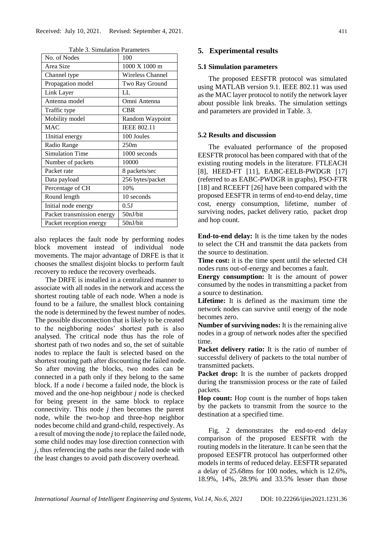| No. of Nodes               | 100                |  |
|----------------------------|--------------------|--|
| Area Size                  | 1000 X 1000 m      |  |
| Channel type               | Wireless Channel   |  |
| Propagation model          | Two Ray Ground     |  |
| Link Layer                 | LL                 |  |
| Antenna model              | Omni Antenna       |  |
| Traffic type               | <b>CBR</b>         |  |
| Mobility model             | Random Waypoint    |  |
| <b>MAC</b>                 | <b>IEEE 802.11</b> |  |
| 1Initial energy            | 100 Joules         |  |
| Radio Range                | 250m               |  |
| <b>Simulation Time</b>     | 1000 seconds       |  |
| Number of packets          | 10000              |  |
| Packet rate                | 8 packets/sec      |  |
| Data payload               | 256 bytes/packet   |  |
| Percentage of CH           | 10%                |  |
| Round length               | 10 seconds         |  |
| Initial node energy        | 0.5J               |  |
| Packet transmission energy | 50nJ/bit           |  |
| Packet reception energy    | 50nJ/bit           |  |

Table 3. Simulation Parameters

also replaces the fault node by performing nodes block movement instead of individual node movements. The major advantage of DRFE is that it chooses the smallest disjoint blocks to perform fault recovery to reduce the recovery overheads.

The DRFE is installed in a centralized manner to associate with all nodes in the network and access the shortest routing table of each node. When a node is found to be a failure, the smallest block containing the node is determined by the fewest number of nodes. The possible disconnection that is likely to be created to the neighboring nodes' shortest path is also analysed. The critical node thus has the role of shortest path of two nodes and so, the set of suitable nodes to replace the fault is selected based on the shortest routing path after discounting the failed node. So after moving the blocks, two nodes can be connected in a path only if they belong to the same block. If a node *i* become a failed node, the block is moved and the one-hop neighbour *j* node is checked for being present in the same block to replace connectivity. This node *j* then becomes the parent node, while the two-hop and three-hop neighbor nodes become child and grand-child, respectively. As a result of moving the node *j* to replace the failed node, some child nodes may lose direction connection with *j*, thus referencing the paths near the failed node with the least changes to avoid path discovery overhead.

## **5. Experimental results**

## **5.1 Simulation parameters**

The proposed EESFTR protocol was simulated using MATLAB version 9.1. IEEE 802.11 was used as the MAC layer protocol to notify the network layer about possible link breaks. The simulation settings and parameters are provided in Table. 3.

## **5.2 Results and discussion**

The evaluated performance of the proposed EESFTR protocol has been compared with that of the existing routing models in the literature. FTLEACH [8], HEED-FT [11], EABC-EELB-PWDGR [17] (referred to as EABC-PWDGR in graphs), PSO-FTR [18] and RCEEFT [26] have been compared with the proposed EESFTR in terms of end-to-end delay, time cost, energy consumption, lifetime, number of surviving nodes, packet delivery ratio, packet drop and hop count.

**End-to-end delay:** It is the time taken by the nodes to select the CH and transmit the data packets from the source to destination.

**Time cost:** it is the time spent until the selected CH nodes runs out-of-energy and becomes a fault.

**Energy consumption:** It is the amount of power consumed by the nodes in transmitting a packet from a source to destination.

**Lifetime:** It is defined as the maximum time the network nodes can survive until energy of the node becomes zero.

**Number of surviving nodes:** It is the remaining alive nodes in a group of network nodes after the specified time.

**Packet delivery ratio:** It is the ratio of number of successful delivery of packets to the total number of transmitted packets.

**Packet drop:** It is the number of packets dropped during the transmission process or the rate of failed packets.

**Hop count:** Hop count is the number of hops taken by the packets to transmit from the source to the destination at a specified time.

Fig. 2 demonstrates the end-to-end delay comparison of the proposed EESFTR with the routing models in the literature. It can be seen that the proposed EESFTR protocol has outperformed other models in terms of reduced delay. EESFTR separated a delay of 25.68ms for 100 nodes, which is 12.6%, 18.9%, 14%, 28.9% and 33.5% lesser than those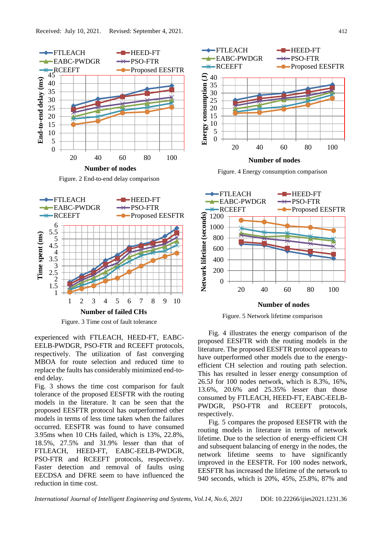



Figure. 3 Time cost of fault tolerance

experienced with FTLEACH, HEED-FT, EABC-EELB-PWDGR, PSO-FTR and RCEEFT protocols, respectively. The utilization of fast converging MBOA for route selection and reduced time to replace the faults has considerably minimized end-toend delay.

Fig. 3 shows the time cost comparison for fault tolerance of the proposed EESFTR with the routing models in the literature. It can be seen that the proposed EESFTR protocol has outperformed other models in terms of less time taken when the failures occurred. EESFTR was found to have consumed 3.95ms when 10 CHs failed, which is 13%, 22.8%, 18.5%, 27.5% and 31.9% lesser than that of FTLEACH, HEED-FT, EABC-EELB-PWDGR, PSO-FTR and RCEEFT protocols, respectively. Faster detection and removal of faults using EECDSA and DFRE seem to have influenced the reduction in time cost.



Figure. 4 Energy consumption comparison



Figure. 5 Network lifetime comparison

Fig. 4 illustrates the energy comparison of the proposed EESFTR with the routing models in the literature. The proposed EESFTR protocol appears to have outperformed other models due to the energyefficient CH selection and routing path selection. This has resulted in lesser energy consumption of 26.5J for 100 nodes network, which is 8.3%, 16%, 13.6%, 20.6% and 25.35% lesser than those consumed by FTLEACH, HEED-FT, EABC-EELB-PWDGR, PSO-FTR and RCEEFT protocols, respectively.

Fig. 5 compares the proposed EESFTR with the routing models in literature in terms of network lifetime. Due to the selection of energy-efficient CH and subsequent balancing of energy in the nodes, the network lifetime seems to have significantly improved in the EESFTR. For 100 nodes network, EESFTR has increased the lifetime of the network to 940 seconds, which is 20%, 45%, 25.8%, 87% and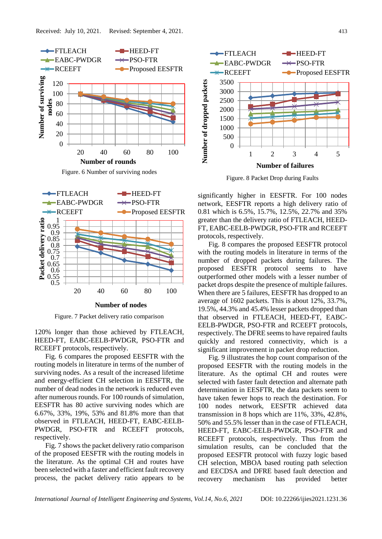

Figure. 6 Number of surviving nodes



Figure. 7 Packet delivery ratio comparison

120% longer than those achieved by FTLEACH, HEED-FT, EABC-EELB-PWDGR, PSO-FTR and RCEEFT protocols, respectively.

Fig. 6 compares the proposed EESFTR with the routing models in literature in terms of the number of surviving nodes. As a result of the increased lifetime and energy-efficient CH selection in EESFTR, the number of dead nodes in the network is reduced even after numerous rounds. For 100 rounds of simulation, EESFTR has 80 active surviving nodes which are 6.67%, 33%, 19%, 53% and 81.8% more than that observed in FTLEACH, HEED-FT, EABC-EELB-PWDGR, PSO-FTR and RCEEFT protocols, respectively.

Fig. 7 shows the packet delivery ratio comparison of the proposed EESFTR with the routing models in the literature. As the optimal CH and routes have been selected with a faster and efficient fault recovery process, the packet delivery ratio appears to be



Figure. 8 Packet Drop during Faults

significantly higher in EESFTR. For 100 nodes network, EESFTR reports a high delivery ratio of 0.81 which is 6.5%, 15.7%, 12.5%, 22.7% and 35% greater than the delivery ratio of FTLEACH, HEED-FT, EABC-EELB-PWDGR, PSO-FTR and RCEEFT protocols, respectively.

Fig. 8 compares the proposed EESFTR protocol with the routing models in literature in terms of the number of dropped packets during failures. The proposed EESFTR protocol seems to have outperformed other models with a lesser number of packet drops despite the presence of multiple failures. When there are 5 failures, EESFTR has dropped to an average of 1602 packets. This is about 12%, 33.7%, 19.5%, 44.3% and 45.4% lesser packets dropped than that observed in FTLEACH, HEED-FT, EABC-EELB-PWDGR, PSO-FTR and RCEEFT protocols, respectively. The DFRE seems to have repaired faults quickly and restored connectivity, which is a significant improvement in packet drop reduction.

Fig. 9 illustrates the hop count comparison of the proposed EESFTR with the routing models in the literature. As the optimal CH and routes were selected with faster fault detection and alternate path determination in EESFTR, the data packets seem to have taken fewer hops to reach the destination. For 100 nodes network, EESFTR achieved data transmission in 8 hops which are 11%, 33%, 42.8%, 50% and 55.5% lesser than in the case of FTLEACH, HEED-FT, EABC-EELB-PWDGR, PSO-FTR and RCEEFT protocols, respectively. Thus from the simulation results, can be concluded that the proposed EESFTR protocol with fuzzy logic based CH selection, MBOA based routing path selection and EECDSA and DFRE based fault detection and recovery mechanism has provided better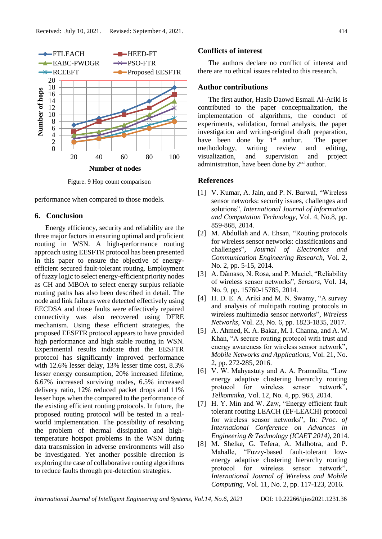

Figure. 9 Hop count comparison

performance when compared to those models.

## **6. Conclusion**

Energy efficiency, security and reliability are the three major factors in ensuring optimal and proficient routing in WSN. A high-performance routing approach using EESFTR protocol has been presented in this paper to ensure the objective of energyefficient secured fault-tolerant routing. Employment of fuzzy logic to select energy-efficient priority nodes as CH and MBOA to select energy surplus reliable routing paths has also been described in detail. The node and link failures were detected effectively using EECDSA and those faults were effectively repaired connectivity was also recovered using DFRE mechanism. Using these efficient strategies, the proposed EESFTR protocol appears to have provided high performance and high stable routing in WSN. Experimental results indicate that the EESFTR protocol has significantly improved performance with 12.6% lesser delay, 13% lesser time cost, 8.3% lesser energy consumption, 20% increased lifetime, 6.67% increased surviving nodes, 6.5% increased delivery ratio, 12% reduced packet drops and 11% lesser hops when the compared to the performance of the existing efficient routing protocols. In future, the proposed routing protocol will be tested in a realworld implementation. The possibility of resolving the problem of thermal dissipation and hightemperature hotspot problems in the WSN during data transmission in adverse environments will also be investigated. Yet another possible direction is exploring the case of collaborative routing algorithms to reduce faults through pre-detection strategies.

## **Conflicts of interest**

The authors declare no conflict of interest and there are no ethical issues related to this research.

## **Author contributions**

The first author, Hasib Daowd Esmail Al-Ariki is contributed to the paper conceptualization, the implementation of algorithms, the conduct of experiments, validation, formal analysis, the paper investigation and writing-original draft preparation, have been done by 1<sup>st</sup> author. The paper methodology, writing review and editing, visualization, and supervision and project administration, have been done by  $2<sup>nd</sup>$  author.

## **References**

- [1] V. Kumar, A. Jain, and P. N. Barwal, "Wireless sensor networks: security issues, challenges and solutions", *International Journal of Information and Computation Technology*, Vol. 4, No.8, pp. 859-868, 2014.
- [2] M. Abdullah and A. Ehsan, "Routing protocols for wireless sensor networks: classifications and challenges", *Journal of Electronics and Communication Engineering Research*, Vol. 2, No. 2, pp. 5-15, 2014.
- [3] A. Dâmaso, N. Rosa, and P. Maciel, "Reliability of wireless sensor networks", *Sensors*, Vol. 14, No. 9, pp. 15760-15785, 2014.
- [4] H. D. E. A. Ariki and M. N. Swamy, "A survey and analysis of multipath routing protocols in wireless multimedia sensor networks", *Wireless Networks*, Vol. 23, No. 6, pp. 1823-1835, 2017.
- [5] A. Ahmed, K. A. Bakar, M. I. Channa, and A. W. Khan, "A secure routing protocol with trust and energy awareness for wireless sensor network", *Mobile Networks and Applications*, Vol. 21, No. 2, pp. 272-285, 2016.
- [6] V. W. Mahyastuty and A. A. Pramudita, "Low energy adaptive clustering hierarchy routing protocol for wireless sensor network", *Telkomnika*, Vol. 12, No. 4, pp. 963, 2014.
- [7] H. Y. Min and W. Zaw, "Energy efficient fault tolerant routing LEACH (EF-LEACH) protocol for wireless sensor networks", In: *Proc. of International Conference on Advances in Engineering & Technology (ICAET 2014)*, 2014.
- [8] M. Shelke, G. Tefera, A. Malhotra, and P. Mahalle, "Fuzzy-based fault-tolerant lowenergy adaptive clustering hierarchy routing protocol for wireless sensor network", *International Journal of Wireless and Mobile Computing*, Vol. 11, No. 2, pp. 117-123, 2016.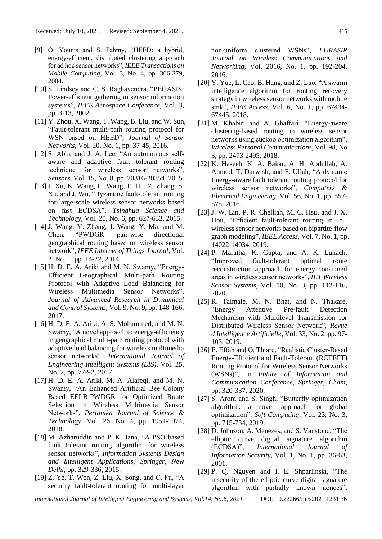- [9] O. Younis and S. Fahmy, "HEED: a hybrid, energy-efficient, distributed clustering approach for ad hoc sensor networks", *IEEE Transactions on Mobile Computing*, Vol. 3, No. 4, pp. 366-379, 2004.
- [10] S. Lindsey and C. S. Raghavendra, "PEGASIS: Power-efficient gathering in sensor information systems", *IEEE Aerospace Conference*, Vol. 3, pp. 3-13, 2002.
- [11] Y. Zhou, X. Wang, T. Wang, B. Liu, and W. Sun, "Fault-tolerant multi-path routing protocol for WSN based on HEED", *Journal of Sensor Networks*, Vol. 20, No. 1, pp. 37-45, 2016.
- [12] S. Abba and J. A. Lee, "An autonomous selfaware and adaptive fault tolerant routing technique for wireless sensor networks", *Sensors*, Vol. 15, No. 8, pp. 20316-20354, 2015.
- [13] J. Xu, K. Wang, C. Wang, F. Hu, Z. Zhang, S. Xu, and J. Wu, "Byzantine fault-tolerant routing for large-scale wireless sensor networks based on fast ECDSA", *Tsinghua Science and Technology*, Vol. 20, No. 6, pp. 627-633, 2015.
- [14] J. Wang, Y. Zhang, J. Wang, Y. Ma, and M. Chen, "PWDGR: pair-wise directional geographical routing based on wireless sensor network", *IEEE Internet of Things Journal*, Vol. 2, No. 1, pp. 14-22, 2014.
- [15] H. D. E. A. Ariki and M. N. Swamy, "Energy-Efficient Geographical Multi-path Routing Protocol with Adaptive Load Balancing for Wireless Multimedia Sensor Networks", *Journal of Advanced Research in Dynamical and Control Systems*, Vol. 9, No. 9, pp. 148-166, 2017.
- [16] H. D. E. A. Ariki, A. S. Mohammed, and M. N. Swamy, "A novel approach to energy-efficiency in geographical multi-path routing protocol with adaptive load balancing for wireless multimedia sensor networks", *International Journal of Engineering Intelligent Systems (EIS)*, Vol. 25, No. 2, pp. 77-92, 2017.
- [17] H. D. E. A. Ariki, M. A. Alareqi, and M. N. Swamy, "An Enhanced Artificial Bee Colony Based EELB-PWDGR for Optimized Route Selection in Wireless Multimedia Sensor Networks", *Pertanika Journal of Science & Technology*, Vol. 26, No. 4, pp. 1951-1974, 2018.
- [18] M. Azharuddin and P. K. Jana, "A PSO based fault tolerant routing algorithm for wireless sensor networks", *Information Systems Design and Intelligent Applications, Springer, New Delhi*, pp. 329-336, 2015.
- [19] Z. Ye, T. Wen, Z. Liu, X. Song, and C. Fu, "A security fault-tolerant routing for multi-layer

non-uniform clustered WSNs", *EURASIP Journal on Wireless Communications and Networking*, Vol. 2016, No. 1, pp. 192-204, 2016.

- [20] Y. Yue, L. Cao, B. Hang, and Z. Luo, "A swarm intelligence algorithm for routing recovery strategy in wireless sensor networks with mobile sink", *IEEE Access*, Vol. 6, No. 1, pp. 67434- 67445, 2018.
- [21] M. Khabiri and A. Ghaffari, "Energy-aware clustering-based routing in wireless sensor networks using cuckoo optimization algorithm", *Wireless Personal Communications*, Vol. 98, No. 3, pp. 2473-2495, 2018.
- [22] K. Haseeb, K. A. Bakar, A. H. Abdullah, A. Ahmed, T. Darwish, and F. Ullah, "A dynamic Energy-aware fault tolerant routing protocol for wireless sensor networks", *Computers & Electrical Engineering*, Vol. 56, No. 1, pp. 557- 575, 2016.
- [23] J. W. Lin, P. R. Chelliah, M. C. Hsu, and J. X. Hou, "Efficient fault-tolerant routing in IoT wireless sensor networks based on bipartite-flow graph modeling", *IEEE Access*, Vol. 7, No. 1, pp. 14022-14034, 2019.
- [24] P. Maratha, K. Gupta, and A. K. Luhach, "Improved fault-tolerant optimal route reconstruction approach for energy consumed areas in wireless sensor networks", *IET Wireless Sensor Systems*, Vol. 10, No. 3, pp. 112-116, 2020.
- [25] R. Talmale, M. N. Bhat, and N. Thakare, "Energy Attentive Pre-fault Detection Mechanism with Multilevel Transmission for Distributed Wireless Sensor Network", *Revue d'Intelligence Artificielle*, Vol. 33, No. 2, pp. 97- 103, 2019.
- [26] E. Effah and O. Thiare, "Realistic Cluster-Based Energy-Efficient and Fault-Tolerant (RCEEFT) Routing Protocol for Wireless Sensor Networks (WSNs)", in *Future of Information and Communication Conference, Springer, Cham*, pp. 320-337, 2020.
- [27] S. Arora and S. Singh, "Butterfly optimization algorithm: a novel approach for global optimization", *Soft Computing*, Vol. 23, No. 3, pp. 715-734, 2019.
- [28] D. Johnson, A. Menezes, and S. Vanstone, "The elliptic curve digital signature algorithm (ECDSA)", *International Journal of Information Security*, Vol. 1, No. 1, pp. 36-63, 2001.
- [29] P. Q. Nguyen and I. E. Shparlinski, "The insecurity of the elliptic curve digital signature algorithm with partially known nonces",